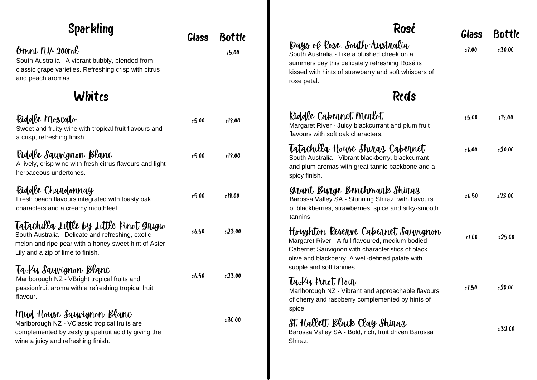| <b>Sparkling</b>                                                                                                                                                                           | Glass  | <b>Bottle</b><br>\$5.00 | Rosć<br>Days of Rosé. South Australia<br>South Australia - Like a blushed cheek on a<br>summers day this delicately refreshing Rosé is<br>kissed with hints of strawberry and soft whispers of<br>rose petal. | Glass<br>s7.00 | <b>Bottle</b><br>\$30.00 |
|--------------------------------------------------------------------------------------------------------------------------------------------------------------------------------------------|--------|-------------------------|---------------------------------------------------------------------------------------------------------------------------------------------------------------------------------------------------------------|----------------|--------------------------|
| Omni NV 200ml<br>South Australia - A vibrant bubbly, blended from<br>classic grape varieties. Refreshing crisp with citrus<br>and peach aromas.                                            |        |                         |                                                                                                                                                                                                               |                |                          |
| Whites                                                                                                                                                                                     |        |                         | <b>Reds</b>                                                                                                                                                                                                   |                |                          |
| Riddle Moscato<br>Sweet and fruity wine with tropical fruit flavours and<br>a crisp, refreshing finish.                                                                                    | s5.00  | \$18.00                 | Riddle Cabernet Merlot<br>Margaret River - Juicy blackcurrant and plum fruit<br>flavours with soft oak characters.                                                                                            | s5.00          | s18.00                   |
| Riddle Saywignon Blanc<br>A lively, crisp wine with fresh citrus flavours and light<br>herbaceous undertones.                                                                              | s5.00  | \$18.00                 | Tatachilla Hoyse Shinaz Cabennet<br>South Australia - Vibrant blackberry, blackcurrant<br>and plum aromas with great tannic backbone and a<br>spicy finish.                                                   | \$6.00\$       | \$20.00                  |
| Riddle Chardonnay<br>Fresh peach flavours integrated with toasty oak<br>characters and a creamy mouthfeel.                                                                                 | s5.00  | s18.00                  | grant Burge Benchmark Shiraz<br>Barossa Valley SA - Stunning Shiraz, with flavours<br>of blackberries, strawberries, spice and silky-smooth<br>tannins.                                                       | s6.50          | \$23.00                  |
| Tatachilla Little by Little Pinot Gnigio<br>South Australia - Delicate and refreshing, exotic<br>melon and ripe pear with a honey sweet hint of Aster<br>Lily and a zip of lime to finish. | \$6.50 | s23.00                  | Hoyghton Reserve Cabernet Saywignon<br>Margaret River - A full flavoured, medium bodied<br>Cabernet Sauvignon with characteristics of black<br>olive and blackberry. A well-defined palate with               | s7.00          | s25.00                   |
| Ta. Ku Sauwignon Blanc<br>Marlborough NZ - VBright tropical fruits and<br>passionfruit aroma with a refreshing tropical fruit<br>flavour.                                                  | \$6.50 | \$23.00                 | supple and soft tannies.<br>Ta Ky Pinot Noin<br>Marlborough NZ - Vibrant and approachable flavours<br>of cherry and raspberry complemented by hints of                                                        | s1.50          | s28.00                   |
| Myd Hoyse Saywignon Blanc<br>Marlborough NZ - VClassic tropical fruits are<br>complemented by zesty grapefruit acidity giving the<br>wine a juicy and refreshing finish.                   |        | s30.00                  | spice.<br>St Hallett Black Clay Shinaz<br>Barossa Valley SA - Bold, rich, fruit driven Barossa<br>Shiraz.                                                                                                     |                | s32.00                   |